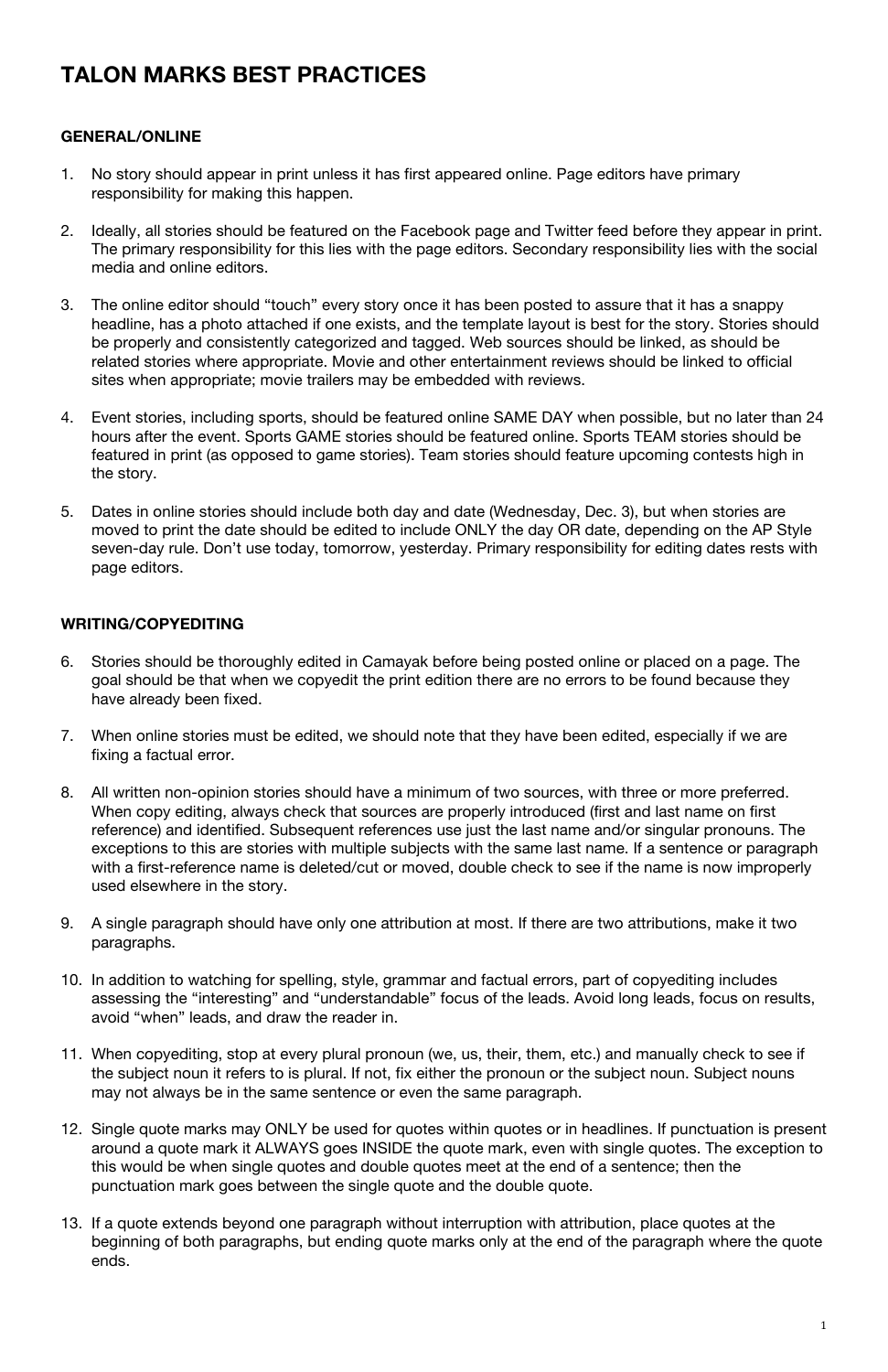# **TALON MARKS BEST PRACTICES**

## **GENERAL/ONLINE**

- 1. No story should appear in print unless it has first appeared online. Page editors have primary responsibility for making this happen.
- 2. Ideally, all stories should be featured on the Facebook page and Twitter feed before they appear in print. The primary responsibility for this lies with the page editors. Secondary responsibility lies with the social media and online editors.
- 3. The online editor should "touch" every story once it has been posted to assure that it has a snappy headline, has a photo attached if one exists, and the template layout is best for the story. Stories should be properly and consistently categorized and tagged. Web sources should be linked, as should be related stories where appropriate. Movie and other entertainment reviews should be linked to official sites when appropriate; movie trailers may be embedded with reviews.
- 4. Event stories, including sports, should be featured online SAME DAY when possible, but no later than 24 hours after the event. Sports GAME stories should be featured online. Sports TEAM stories should be featured in print (as opposed to game stories). Team stories should feature upcoming contests high in the story.
- 5. Dates in online stories should include both day and date (Wednesday, Dec. 3), but when stories are moved to print the date should be edited to include ONLY the day OR date, depending on the AP Style seven-day rule. Don't use today, tomorrow, yesterday. Primary responsibility for editing dates rests with page editors.

#### **WRITING/COPYEDITING**

- 6. Stories should be thoroughly edited in Camayak before being posted online or placed on a page. The goal should be that when we copyedit the print edition there are no errors to be found because they have already been fixed.
- 7. When online stories must be edited, we should note that they have been edited, especially if we are fixing a factual error.
- 8. All written non-opinion stories should have a minimum of two sources, with three or more preferred. When copy editing, always check that sources are properly introduced (first and last name on first reference) and identified. Subsequent references use just the last name and/or singular pronouns. The exceptions to this are stories with multiple subjects with the same last name. If a sentence or paragraph with a first-reference name is deleted/cut or moved, double check to see if the name is now improperly used elsewhere in the story.
- 9. A single paragraph should have only one attribution at most. If there are two attributions, make it two paragraphs.
- 10. In addition to watching for spelling, style, grammar and factual errors, part of copyediting includes assessing the "interesting" and "understandable" focus of the leads. Avoid long leads, focus on results,

avoid "when" leads, and draw the reader in.

- 11. When copyediting, stop at every plural pronoun (we, us, their, them, etc.) and manually check to see if the subject noun it refers to is plural. If not, fix either the pronoun or the subject noun. Subject nouns may not always be in the same sentence or even the same paragraph.
- 12. Single quote marks may ONLY be used for quotes within quotes or in headlines. If punctuation is present around a quote mark it ALWAYS goes INSIDE the quote mark, even with single quotes. The exception to this would be when single quotes and double quotes meet at the end of a sentence; then the punctuation mark goes between the single quote and the double quote.
- 13. If a quote extends beyond one paragraph without interruption with attribution, place quotes at the beginning of both paragraphs, but ending quote marks only at the end of the paragraph where the quote ends.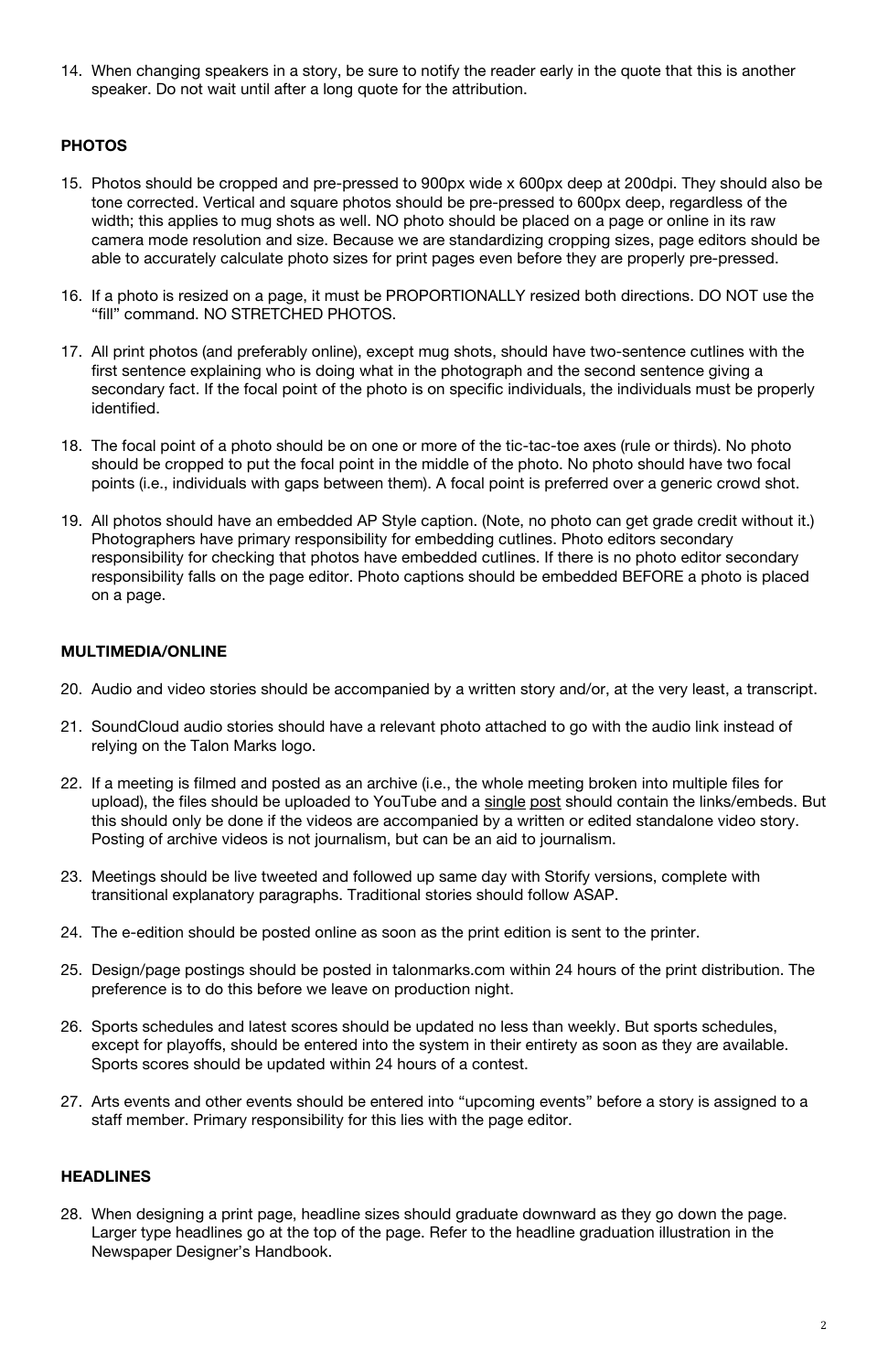14. When changing speakers in a story, be sure to notify the reader early in the quote that this is another speaker. Do not wait until after a long quote for the attribution.

# **PHOTOS**

- 15. Photos should be cropped and pre-pressed to 900px wide x 600px deep at 200dpi. They should also be tone corrected. Vertical and square photos should be pre-pressed to 600px deep, regardless of the width; this applies to mug shots as well. NO photo should be placed on a page or online in its raw camera mode resolution and size. Because we are standardizing cropping sizes, page editors should be able to accurately calculate photo sizes for print pages even before they are properly pre-pressed.
- 16. If a photo is resized on a page, it must be PROPORTIONALLY resized both directions. DO NOT use the "fill" command. NO STRETCHED PHOTOS.
- 17. All print photos (and preferably online), except mug shots, should have two-sentence cutlines with the first sentence explaining who is doing what in the photograph and the second sentence giving a secondary fact. If the focal point of the photo is on specific individuals, the individuals must be properly identified.
- 18. The focal point of a photo should be on one or more of the tic-tac-toe axes (rule or thirds). No photo should be cropped to put the focal point in the middle of the photo. No photo should have two focal points (i.e., individuals with gaps between them). A focal point is preferred over a generic crowd shot.
- 19. All photos should have an embedded AP Style caption. (Note, no photo can get grade credit without it.) Photographers have primary responsibility for embedding cutlines. Photo editors secondary responsibility for checking that photos have embedded cutlines. If there is no photo editor secondary responsibility falls on the page editor. Photo captions should be embedded BEFORE a photo is placed on a page.

#### **MULTIMEDIA/ONLINE**

- 20. Audio and video stories should be accompanied by a written story and/or, at the very least, a transcript.
- 21. SoundCloud audio stories should have a relevant photo attached to go with the audio link instead of relying on the Talon Marks logo.
- 22. If a meeting is filmed and posted as an archive (i.e., the whole meeting broken into multiple files for upload), the files should be uploaded to YouTube and a single post should contain the links/embeds. But this should only be done if the videos are accompanied by a written or edited standalone video story. Posting of archive videos is not journalism, but can be an aid to journalism.
- 23. Meetings should be live tweeted and followed up same day with Storify versions, complete with transitional explanatory paragraphs. Traditional stories should follow ASAP.
- 24. The e-edition should be posted online as soon as the print edition is sent to the printer.
- 25. Design/page postings should be posted in talonmarks.com within 24 hours of the print distribution. The preference is to do this before we leave on production night.
- 26. Sports schedules and latest scores should be updated no less than weekly. But sports schedules, except for playoffs, should be entered into the system in their entirety as soon as they are available. Sports scores should be updated within 24 hours of a contest.
- 27. Arts events and other events should be entered into "upcoming events" before a story is assigned to a staff member. Primary responsibility for this lies with the page editor.

## **HEADLINES**

28. When designing a print page, headline sizes should graduate downward as they go down the page. Larger type headlines go at the top of the page. Refer to the headline graduation illustration in the Newspaper Designer's Handbook.